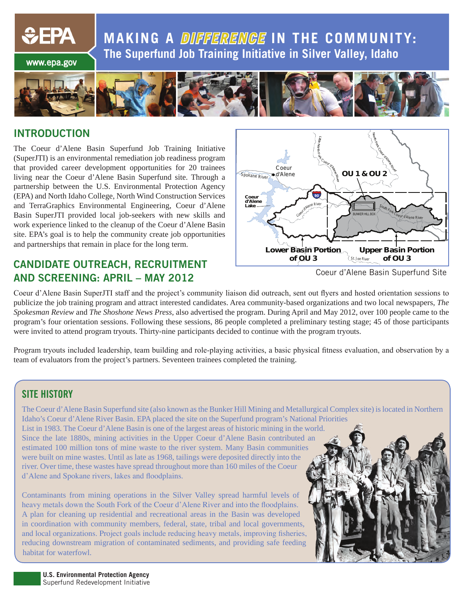**MAKING A** *DIFFERENCE* **IN THE COMMUNITY: The Superfund Job Training Initiative in Silver Valley, Idaho**



#### **INTRODUCTION**

www.epa.gov

*<u><del>C</del>*EPA</u>

The Coeur d'Alene Basin Superfund Job Training Initiative (SuperJTI) is an environmental remediation job readiness program that provided career development opportunities for 20 trainees coeur living near the Coeur d'Alene Basin Superfund site. Through a <sup>Spokane River</sup> partnership between the U.S. Environmental Protection Agency (EPA) and North Idaho College, North Wind Construction Services and TerraGraphics Environmental Engineering, Coeur d'Alene and Terrastraphies Environmental Engineering, cocal a riche<br>Basin SuperJTI provided local job-seekers with new skills and work experience linked to the cleanup of the Coeur d'Alene Basin site. EPA's goal is to help the community create job opportunities and partnerships that remain in place for the long term. superfit provided focal job-seekers with hew skills and are  $\mathbf{r}$  and  $\mathbf{r}$  from Coeurr, which flows from Coeurs from Coeurs from Coeurs from Coeurs from Coeurs from Coeurs from Coeurs from Coeurs from Coeurs from Coeurs from Coeurs from Coeurs from Coeurs from Coeurs fr

## **CANDIDATE OUTREACH, RECRUITMENT AND SCREENING: APRIL – MAY 2012**



**Osburn Silverton**

Coeur d'Alene Basin Superfund Site

Coeur d'Alene Basin SuperJTI staff and the project's community liaison did outreach, sent out flyers and hosted orientation sessions to publicize the job training program and attract interested candidates. Area community-based organizations and two local newspapers, *The*  Spokesman Review and The Shoshone News Press, also advertised the program. During April and May 2012, over 100 people came to the program's four orientation sessions. Following these sessions, 86 people completed a prelimi program's four orientation sessions. Following these sessions, 86 people completed a preliminary testing stage; 45 of those participants were invited to attend program tryouts. Thirty-nine participants decided to continue with the program tryouts.

Program tryouts included leadership, team building and role-playing activities, a basic physical fitness evaluation, and observation by a team of evaluators from the project's partners. Seventeen trainees completed the tra team of evaluators from the project's partners. Seventeen trainees completed the training. *N<sup>i</sup>nem<sup>i</sup>l<sup>e</sup> <sup>C</sup><sup>r</sup>ee<sup>k</sup> Big Creek*

#### **SITE HISTORY**

The Coeur d'Alene Basin Superfund site (also known as the Bunker Hill Mining and Metallurgical Complex site) is located in Northern Idaho's Coeur d'Alene River Basin. EPA placed the site on the Superfund program's National Priorities List in 1983. The Coeur d'Alene Basin is one of the largest areas of historic mining in the world. Since the late 1880s, mining activities in the Upper Coeur d'Alene Basin contributed an estimated 100 million tons of mine waste to the river system. Many Basin communities were built on mine wastes. Until as late as 1968, tailings were deposited directly into the river. Over time, these wastes have spread throughout more than 160 miles of the Coeur d'Alene and Spokane rivers, lakes and floodplains. 0 2 M V 1 M 1 20 20 10 11 M 12 *SHOSHONE COUNTY Placer Creek* the **Bunker Hil** 

Contaminants from mining operations in the Silver Valley spread harmful levels of Eunanmants from mining operations in the Sirver valley spiead naminal levers of heavy metals down the South Fork of the Coeur d'Alene River and into the floodplains. A plan for cleaning up residential and recreational areas in the Basin was developed In plan for cleaning up residential and recreational dreas in the Basin Was developed<br>in coordination with community members, federal, state, tribal and local governments, and local organizations. Project goals include reducing heavy metals, improving fisheries, reducing downstream migration of contaminated sediments, and providing safe feeding habitat for waterfowl. Coordination with community incidents, rederar, state, 382081.TA.07.01.01.04\_BunkerHill\_ES031812185638SEA . Fig 1-1 Location Map v6 29jun12.ai . gr

*Pine Creek*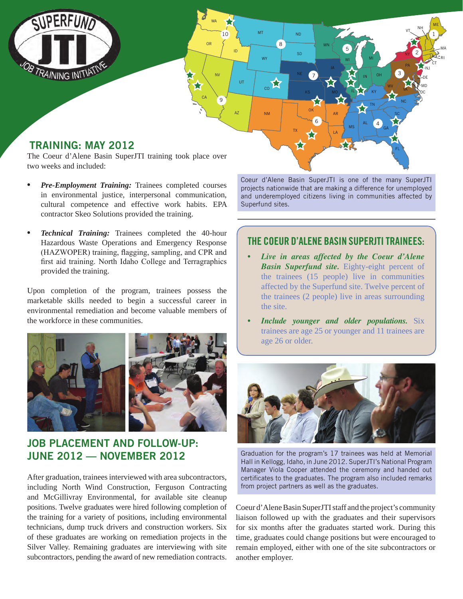

- *Pre-Employment Training:* Trainees completed courses in environmental justice, interpersonal communication, cultural competence and effective work habits. EPA contractor Skeo Solutions provided the training.
- *• Technical Training:* Trainees completed the 40-hour Hazardous Waste Operations and Emergency Response (HAZWOPER) training, flagging, sampling, and CPR and first aid training. North Idaho College and Terragraphics provided the training.

Upon completion of the program, trainees possess the marketable skills needed to begin a successful career in environmental remediation and become valuable members of the workforce in these communities.



### **JOB PLACEMENT AND FOLLOW-UP: JUNE 2012 — NOVEMBER 2012**

After graduation, trainees interviewed with area subcontractors, including North Wind Construction, Ferguson Contracting and McGillivray Environmental, for available site cleanup positions. Twelve graduates were hired following completion of the training for a variety of positions, including environmental technicians, dump truck drivers and construction workers. Six of these graduates are working on remediation projects in the Silver Valley. Remaining graduates are interviewing with site subcontractors, pending the award of new remediation contracts.

Coeur d'Alene Basin SuperJTI is one of the many SuperJTI projects nationwide that are making a difference for unemployed and underemployed citizens living in communities affected by Superfund sites.

#### **THE COEUR D'ALENE BASIN SUPERJTI TRAINEES:**

- *• Live in areas affected by the Coeur d'Alene Basin Superfund site.* Eighty-eight percent of the trainees (15 people) live in communities affected by the Superfund site. Twelve percent of the trainees (2 people) live in areas surrounding the site.
- *Include younger and older populations.* Six trainees are age 25 or younger and 11 trainees are age 26 or older.



Graduation for the program's 17 trainees was held at Memorial Hall in Kellogg, Idaho, in June 2012. SuperJTI's National Program Manager Viola Cooper attended the ceremony and handed out certificates to the graduates. The program also included remarks from project partners as well as the graduates.

Coeur d'Alene Basin SuperJTI staff and the project's community liaison followed up with the graduates and their supervisors for six months after the graduates started work. During this time, graduates could change positions but were encouraged to remain employed, either with one of the site subcontractors or another employer.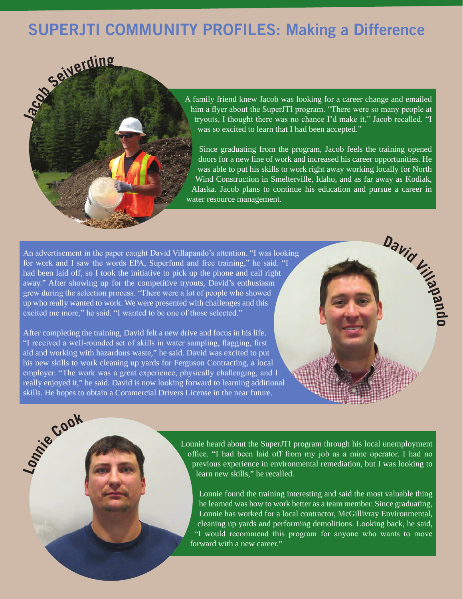# **SUPERJTI COMMUNITY PROFILES: Making a Difference**



A family friend knew Jacob was looking for a career change and emailed him a flyer about the SuperJTI program. "There were so many people at tryouts, I thought there was no chance I'd make it," Jacob recalled. "I was so excited to learn that I had been accepted."

Since graduating from the program, Jacob feels the training opened doors for a new line of work and increased his career opportunities. He was able to put his skills to work right away working locally for North Wind Construction in Smelterville, Idaho, and as far away as Kodiak, Alaska. Jacob plans to continue his education and pursue a career in water resource management.

**David Villapa**

**n d o**

An advertisement in the paper caught David Villapando's attention. "I was looking for work and I saw the words EPA, Superfund and free training," he said. "I had been laid off, so I took the initiative to pick up the phone and call right away." After showing up for the competitive tryouts, David's enthusiasm grew during the selection process. "There were a lot of people who showed up who really wanted to work. We were presented with challenges and this excited me more," he said. "I wanted to be one of those selected."

After completing the training, David felt a new drive and focus in his life. "I received a well-rounded set of skills in water sampling, flagging, first aid and working with hazardous waste," he said. David was excited to put his new skills to work cleaning up yards for Ferguson Contracting, a local employer. "The work was a great experience, physically challenging, and I really enjoyed it," he said. David is now looking forward to learning additional skills. He hopes to obtain a Commercial Drivers License in the near future. **Lonnie Cook**

Lonnie heard about the SuperJTI program through his local unemployment office. "I had been laid off from my job as a mine operator. I had no previous experience in environmental remediation, but I was looking to learn new skills," he recalled.

Lonnie found the training interesting and said the most valuable thing he learned was how to work better as a team member. Since graduating, Lonnie has worked for a local contractor, McGillivray Environmental, cleaning up yards and performing demolitions. Looking back, he said, "I would recommend this program for anyone who wants to move forward with a new career."